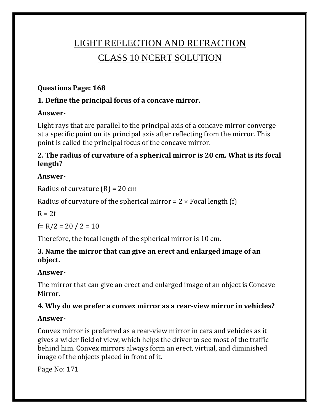# LIGHT REFLECTION AND REFRACTION CLASS 10 NCERT SOLUTION

### **Questions Page: 168**

### **1. Define the principal focus of a concave mirror.**

### **Answer-**

Light rays that are parallel to the principal axis of a concave mirror converge at a specific point on its principal axis after reflecting from the mirror. This point is called the principal focus of the concave mirror.

### **2. The radius of curvature of a spherical mirror is 20 cm. What is its focal length?**

### **Answer-**

Radius of curvature  $(R) = 20$  cm

Radius of curvature of the spherical mirror =  $2 \times$  Focal length (f)

 $R = 2f$ 

f= R/2 = 20 / 2 = 10

Therefore, the focal length of the spherical mirror is 10 cm.

#### **3. Name the mirror that can give an erect and enlarged image of an object.**

### **Answer-**

The mirror that can give an erect and enlarged image of an object is Concave Mirror.

#### **4. Why do we prefer a convex mirror as a rear-view mirror in vehicles?**

#### **Answer-**

Convex mirror is preferred as a rear-view mirror in cars and vehicles as it gives a wider field of view, which helps the driver to see most of the traffic behind him. Convex mirrors always form an erect, virtual, and diminished image of the objects placed in front of it.

Page No: 171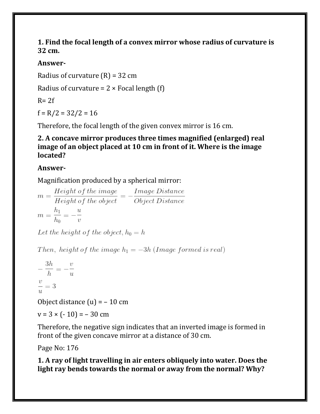#### **1. Find the focal length of a convex mirror whose radius of curvature is 32 cm.**

### **Answer-**

Radius of curvature  $(R) = 32$  cm

Radius of curvature =  $2 \times$  Focal length (f)

 $R = 2f$ 

 $f = R/2 = 32/2 = 16$ 

Therefore, the focal length of the given convex mirror is 16 cm.

#### **2. A concave mirror produces three times magnified (enlarged) real image of an object placed at 10 cm in front of it. Where is the image located?**

### **Answer-**

Magnification produced by a spherical mirror:

 $m = \frac{Height\ of\ the\ image}{Height\ of\ the\ object} = -\frac{Image\ Distance}{Object\ Distance}$  $m = \frac{h_1}{h_0} = -\frac{u}{v}$ 

Let the height of the object,  $h_0 = h$ 

Then, height of the image  $h_1 = -3h$  (Image formed is real)

$$
-\frac{3h}{h} = -\frac{v}{u}
$$

$$
\frac{v}{u} = 3
$$
Object distance (u)

Object distance  $(u) = -10$  cm

$$
v = 3 \times (-10) = -30
$$
 cm

Therefore, the negative sign indicates that an inverted image is formed in front of the given concave mirror at a distance of 30 cm.

Page No: 176

**1. A ray of light travelling in air enters obliquely into water. Does the light ray bends towards the normal or away from the normal? Why?**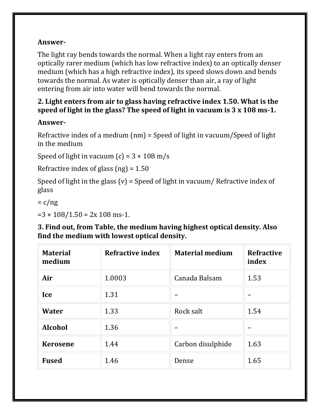The light ray bends towards the normal. When a light ray enters from an optically rarer medium (which has low refractive index) to an optically denser medium (which has a high refractive index), its speed slows down and bends towards the normal. As water is optically denser than air, a ray of light entering from air into water will bend towards the normal.

### **2. Light enters from air to glass having refractive index 1.50. What is the speed of light in the glass? The speed of light in vacuum is 3 x 108 ms-1.**

### **Answer-**

Refractive index of a medium (nm) = Speed of light in vacuum/Speed of light in the medium

Speed of light in vacuum  $(c) = 3 \times 108$  m/s

Refractive index of glass  $(ng) = 1.50$ 

Speed of light in the glass (v) = Speed of light in vacuum/ Refractive index of glass

 $= c/ng$ 

 $=3 \times 108/1.50 = 2x 108$  ms-1.

#### **3. Find out, from Table, the medium having highest optical density. Also find the medium with lowest optical density.**

| <b>Material</b><br>medium | <b>Refractive index</b> | <b>Material medium</b> | <b>Refractive</b><br>index |
|---------------------------|-------------------------|------------------------|----------------------------|
| Air                       | 1.0003                  | Canada Balsam          | 1.53                       |
| Ice                       | 1.31                    |                        |                            |
| Water                     | 1.33                    | Rock salt              | 1.54                       |
| <b>Alcohol</b>            | 1.36                    |                        |                            |
| <b>Kerosene</b>           | 1.44                    | Carbon disulphide      | 1.63                       |
| <b>Fused</b>              | 1.46                    | Dense                  | 1.65                       |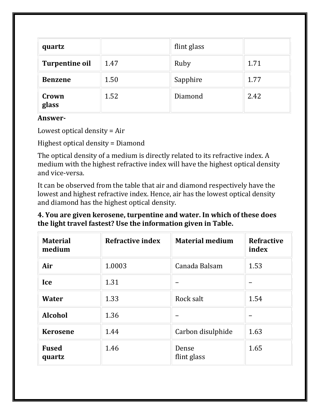| quartz                |      | flint glass |      |
|-----------------------|------|-------------|------|
| <b>Turpentine oil</b> | 1.47 | Ruby        | 1.71 |
| <b>Benzene</b>        | 1.50 | Sapphire    | 1.77 |
| Crown<br>glass        | 1.52 | Diamond     | 2.42 |

Lowest optical density = Air

Highest optical density = Diamond

The optical density of a medium is directly related to its refractive index. A medium with the highest refractive index will have the highest optical density and vice-versa.

It can be observed from the table that air and diamond respectively have the lowest and highest refractive index. Hence, air has the lowest optical density and diamond has the highest optical density.

### **4. You are given kerosene, turpentine and water. In which of these does the light travel fastest? Use the information given in Table.**

| <b>Material</b><br>medium | <b>Refractive index</b> | <b>Material medium</b> | <b>Refractive</b><br>index |
|---------------------------|-------------------------|------------------------|----------------------------|
| Air                       | 1.0003                  | Canada Balsam          | 1.53                       |
| Ice                       | 1.31                    |                        |                            |
| Water                     | 1.33                    | Rock salt              | 1.54                       |
| <b>Alcohol</b>            | 1.36                    |                        |                            |
| <b>Kerosene</b>           | 1.44                    | Carbon disulphide      | 1.63                       |
| <b>Fused</b><br>quartz    | 1.46                    | Dense<br>flint glass   | 1.65                       |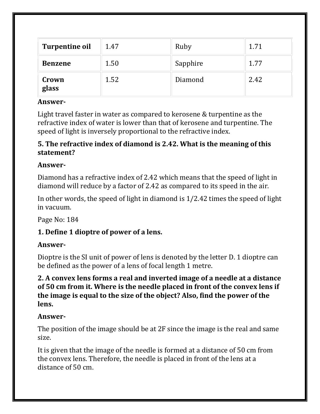| <b>Turpentine oil</b> | 1.47 | Ruby     | 1.71 |
|-----------------------|------|----------|------|
| <b>Benzene</b>        | 1.50 | Sapphire | 1.77 |
| Crown<br>glass        | 1.52 | Diamond  | 2.42 |

Light travel faster in water as compared to kerosene & turpentine as the refractive index of water is lower than that of kerosene and turpentine. The speed of light is inversely proportional to the refractive index.

### **5. The refractive index of diamond is 2.42. What is the meaning of this statement?**

### **Answer-**

Diamond has a refractive index of 2.42 which means that the speed of light in diamond will reduce by a factor of 2.42 as compared to its speed in the air.

In other words, the speed of light in diamond is 1/2.42 times the speed of light in vacuum.

Page No: 184

### **1. Define 1 dioptre of power of a lens.**

#### **Answer-**

Dioptre is the SI unit of power of lens is denoted by the letter D. 1 dioptre can be defined as the power of a lens of focal length 1 metre.

#### **2. A convex lens forms a real and inverted image of a needle at a distance of 50 cm from it. Where is the needle placed in front of the convex lens if the image is equal to the size of the object? Also, find the power of the lens.**

#### **Answer-**

The position of the image should be at 2F since the image is the real and same size.

It is given that the image of the needle is formed at a distance of 50 cm from the convex lens. Therefore, the needle is placed in front of the lens at a distance of 50 cm.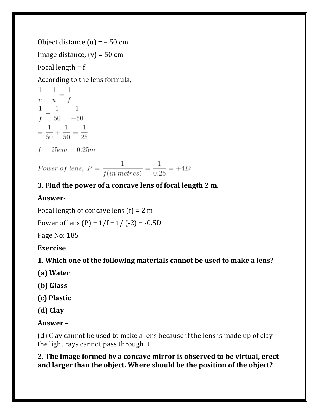Object distance  $(u) = -50$  cm Image distance,  $(v) = 50$  cm Focal length = f

According to the lens formula,

 $\frac{1}{v} - \frac{1}{u} = \frac{1}{f}$  $\frac{1}{f} = \frac{1}{50} - \frac{1}{-50}$  $=\frac{1}{50}+\frac{1}{50}=\frac{1}{25}$  $f = 25cm = 0.25m$ 

Power of lens,  $P = \frac{1}{f(in \, metres)} = \frac{1}{0.25} = +4D$ 

# **3. Find the power of a concave lens of focal length 2 m.**

### **Answer-**

Focal length of concave lens  $(f) = 2$  m

Power of lens  $(P) = 1/f = 1/(-2) = -0.5D$ 

Page No: 185

**Exercise**

**1. Which one of the following materials cannot be used to make a lens?**

**(a) Water**

**(b) Glass**

**(c) Plastic**

**(d) Clay**

**Answer** –

(d) Clay cannot be used to make a lens because if the lens is made up of clay the light rays cannot pass through it

**2. The image formed by a concave mirror is observed to be virtual, erect and larger than the object. Where should be the position of the object?**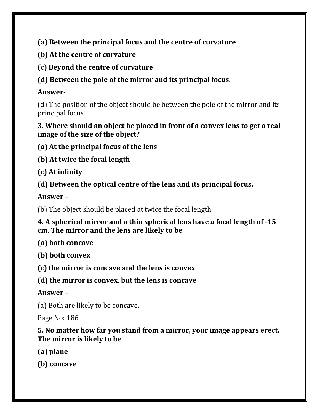**(a) Between the principal focus and the centre of curvature**

- **(b) At the centre of curvature**
- **(c) Beyond the centre of curvature**
- **(d) Between the pole of the mirror and its principal focus.**

# **Answer-**

(d) The position of the object should be between the pole of the mirror and its principal focus.

### **3. Where should an object be placed in front of a convex lens to get a real image of the size of the object?**

**(a) At the principal focus of the lens**

**(b) At twice the focal length**

**(c) At infinity**

**(d) Between the optical centre of the lens and its principal focus.**

**Answer –**

(b) The object should be placed at twice the focal length

### **4. A spherical mirror and a thin spherical lens have a focal length of -15 cm. The mirror and the lens are likely to be**

**(a) both concave**

**(b) both convex**

**(c) the mirror is concave and the lens is convex**

**(d) the mirror is convex, but the lens is concave**

**Answer –**

(a) Both are likely to be concave.

Page No: 186

### **5. No matter how far you stand from a mirror, your image appears erect. The mirror is likely to be**

**(a) plane**

**(b) concave**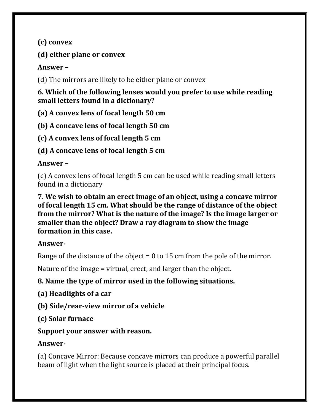**(c) convex**

### **(d) either plane or convex**

### **Answer –**

(d) The mirrors are likely to be either plane or convex

**6. Which of the following lenses would you prefer to use while reading small letters found in a dictionary?**

**(a) A convex lens of focal length 50 cm**

**(b) A concave lens of focal length 50 cm**

**(c) A convex lens of focal length 5 cm**

**(d) A concave lens of focal length 5 cm**

# **Answer –**

(c) A convex lens of focal length 5 cm can be used while reading small letters found in a dictionary

**7. We wish to obtain an erect image of an object, using a concave mirror of focal length 15 cm. What should be the range of distance of the object from the mirror? What is the nature of the image? Is the image larger or smaller than the object? Draw a ray diagram to show the image formation in this case.**

# **Answer-**

Range of the distance of the object  $= 0$  to 15 cm from the pole of the mirror.

Nature of the image = virtual, erect, and larger than the object.

# **8. Name the type of mirror used in the following situations.**

**(a) Headlights of a car**

**(b) Side/rear-view mirror of a vehicle**

**(c) Solar furnace**

### **Support your answer with reason.**

# **Answer-**

(a) Concave Mirror: Because concave mirrors can produce a powerful parallel beam of light when the light source is placed at their principal focus.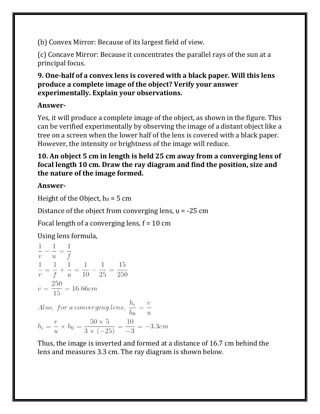(b) Convex Mirror: Because of its largest field of view.

(c) Concave Mirror: Because it concentrates the parallel rays of the sun at a principal focus.

### **9. One-half of a convex lens is covered with a black paper. Will this lens produce a complete image of the object? Verify your answer experimentally. Explain your observations.**

### **Answer-**

Yes, it will produce a complete image of the object, as shown in the figure. This can be verified experimentally by observing the image of a distant object like a tree on a screen when the lower half of the lens is covered with a black paper. However, the intensity or brightness of the image will reduce.

### **10. An object 5 cm in length is held 25 cm away from a converging lens of focal length 10 cm. Draw the ray diagram and find the position, size and the nature of the image formed.**

### **Answer-**

Height of the Object,  $h_0 = 5$  cm

Distance of the object from converging lens,  $u = -25$  cm

Focal length of a converging lens,  $f = 10$  cm

Using lens formula,

$$
\frac{1}{v} - \frac{1}{u} = \frac{1}{f}
$$
\n
$$
\frac{1}{v} = \frac{1}{f} + \frac{1}{u} = \frac{1}{10} - \frac{1}{25} = \frac{15}{250}
$$
\n
$$
v = \frac{250}{15} = 16.66cm
$$
\nAlso, for a converging lens,  $\frac{h_i}{h_0} = \frac{v}{u}$ \n
$$
h_i = \frac{v}{u} \times h_0 = \frac{50 \times 5}{3 \times (-25)} = \frac{10}{-3} = -3.3cm
$$

Thus, the image is inverted and formed at a distance of 16.7 cm behind the lens and measures 3.3 cm. The ray diagram is shown below.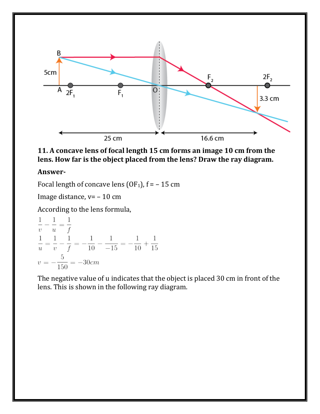

**11. A concave lens of focal length 15 cm forms an image 10 cm from the lens. How far is the object placed from the lens? Draw the ray diagram.**

Focal length of concave lens (OF<sub>1</sub>),  $f = -15$  cm

Image distance, v= – 10 cm

According to the lens formula,

$$
\frac{1}{v} - \frac{1}{u} = \frac{1}{f}
$$
  

$$
\frac{1}{u} = \frac{1}{v} - \frac{1}{f} = -\frac{1}{10} - \frac{1}{-15} = -\frac{1}{10} + \frac{1}{15}
$$
  

$$
v = -\frac{5}{150} = -30 \text{cm}
$$

The negative value of u indicates that the object is placed 30 cm in front of the lens. This is shown in the following ray diagram.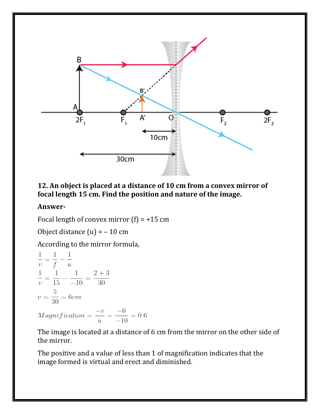

#### **12. An object is placed at a distance of 10 cm from a convex mirror of focal length 15 cm. Find the position and nature of the image.**

#### **Answer-**

Focal length of convex mirror  $(f) = +15$  cm

Object distance  $(u) = -10$  cm

According to the mirror formula,

$$
\frac{1}{v} = \frac{1}{f} - \frac{1}{u}
$$
  
\n
$$
\frac{1}{v} = \frac{1}{15} - \frac{1}{-10} = \frac{2+3}{30}
$$
  
\n
$$
v = \frac{5}{30} = 6cm
$$
  
\n*Magnification* =  $\frac{-v}{u} = \frac{-6}{-10} = 0.6$ 

The image is located at a distance of 6 cm from the mirror on the other side of the mirror.

The positive and a value of less than 1 of magnification indicates that the image formed is virtual and erect and diminished.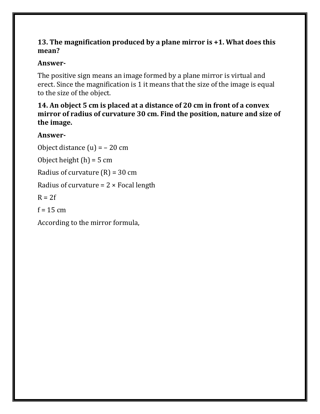#### **13. The magnification produced by a plane mirror is +1. What does this mean?**

### **Answer-**

The positive sign means an image formed by a plane mirror is virtual and erect. Since the magnification is 1 it means that the size of the image is equal to the size of the object.

#### **14. An object 5 cm is placed at a distance of 20 cm in front of a convex mirror of radius of curvature 30 cm. Find the position, nature and size of the image.**

### **Answer-**

Object distance  $(u) = -20$  cm Object height  $(h) = 5$  cm Radius of curvature  $(R) = 30$  cm Radius of curvature =  $2 \times$  Focal length  $R = 2f$  $f = 15$  cm According to the mirror formula,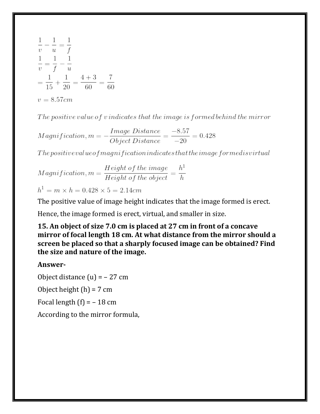$$
\frac{1}{v} - \frac{1}{u} = \frac{1}{f}
$$
  
\n
$$
\frac{1}{v} = \frac{1}{f} - \frac{1}{u}
$$
  
\n
$$
= \frac{1}{15} + \frac{1}{20} = \frac{4+3}{60} = \frac{7}{60}
$$
  
\n
$$
v = 8.57cm
$$

The positive value of vindicates that the image is formed behind the mirror

 $Magnification, m = -\frac{Image Distance}{Object Distance} = \frac{-8.57}{-20} = 0.428$ 

 $The \textit{positive} value of magnitude at the \textit{image} for med is virtual$ 

 $Magnification, m = \frac{Height\ of\ the\ image}{Height\ of\ the\ object} = \frac{h^1}{h}$ 

 $h^1 = m \times h = 0.428 \times 5 = 2.14$ cm

The positive value of image height indicates that the image formed is erect.

Hence, the image formed is erect, virtual, and smaller in size.

**15. An object of size 7.0 cm is placed at 27 cm in front of a concave mirror of focal length 18 cm. At what distance from the mirror should a screen be placed so that a sharply focused image can be obtained? Find the size and nature of the image.**

#### **Answer-**

Object distance  $(u) = -27$  cm Object height  $(h) = 7$  cm Focal length  $(f) = -18$  cm According to the mirror formula,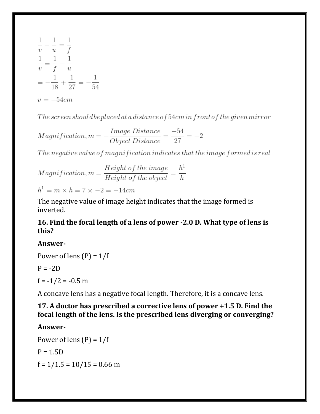

The screen should be placed at a distance of  $54cm$  in front of the qiven mirror

 $Magnification, m = -\frac{Image Distance}{Object Distance} = \frac{-54}{27} = -2$ 

The negative value of magnification indicates that the image formed is real

 $Magnification, m = \frac{Height\ of\ the\ image}{Height\ of\ the\ object} = \frac{h^1}{h}$ 

 $h^1 = m \times h = 7 \times -2 = -14cm$ 

The negative value of image height indicates that the image formed is inverted.

#### **16. Find the focal length of a lens of power -2.0 D. What type of lens is this?**

#### **Answer-**

Power of lens  $(P) = 1/f$ 

 $P = -2D$ 

 $f = -1/2 = -0.5$  m

A concave lens has a negative focal length. Therefore, it is a concave lens.

#### **17. A doctor has prescribed a corrective lens of power +1.5 D. Find the focal length of the lens. Is the prescribed lens diverging or converging?**

#### **Answer-**

Power of lens  $(P) = 1/f$  $P = 1.5D$  $f = 1/1.5 = 10/15 = 0.66$  m